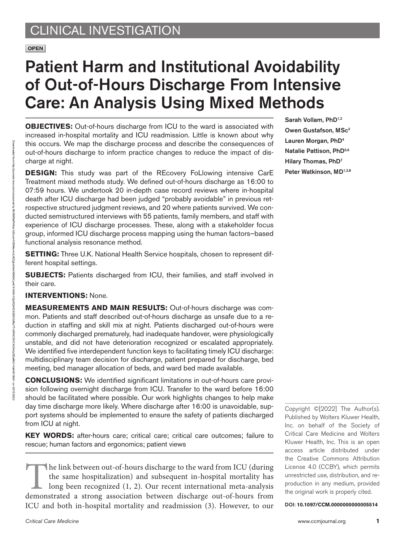# Patient Harm and Institutional Avoidability of Out-of-Hours Discharge From Intensive Care: An Analysis Using Mixed Methods

**OBJECTIVES:** Out-of-hours discharge from ICU to the ward is associated with increased in-hospital mortality and ICU readmission. Little is known about why this occurs. We map the discharge process and describe the consequences of out-of-hours discharge to inform practice changes to reduce the impact of discharge at night.

**DESIGN:** This study was part of the REcovery FoLlowing intensive CarE Treatment mixed methods study. We defined out-of-hours discharge as 16:00 to 07:59 hours. We undertook 20 in-depth case record reviews where in-hospital death after ICU discharge had been judged "probably avoidable" in previous retrospective structured judgment reviews, and 20 where patients survived. We conducted semistructured interviews with 55 patients, family members, and staff with experience of ICU discharge processes. These, along with a stakeholder focus group, informed ICU discharge process mapping using the human factors–based functional analysis resonance method.

**SETTING:** Three U.K. National Health Service hospitals, chosen to represent different hospital settings.

**SUBJECTS:** Patients discharged from ICU, their families, and staff involved in their care.

### **INTERVENTIONS:** None.

**MEASUREMENTS AND MAIN RESULTS:** Out-of-hours discharge was common. Patients and staff described out-of-hours discharge as unsafe due to a reduction in staffing and skill mix at night. Patients discharged out-of-hours were commonly discharged prematurely, had inadequate handover, were physiologically unstable, and did not have deterioration recognized or escalated appropriately. We identified five interdependent function keys to facilitating timely ICU discharge: multidisciplinary team decision for discharge, patient prepared for discharge, bed meeting, bed manager allocation of beds, and ward bed made available.

**CONCLUSIONS:** We identified significant limitations in out-of-hours care provision following overnight discharge from ICU. Transfer to the ward before 16:00 should be facilitated where possible. Our work highlights changes to help make day time discharge more likely. Where discharge after 16:00 is unavoidable, support systems should be implemented to ensure the safety of patients discharged from ICU at night.

**KEY WORDS:** after-hours care; critical care; critical care outcomes; failure to rescue; human factors and ergonomics; patient views

The link between out-of-hours discharge to the ward from ICU (during<br>the same hospitalization) and subsequent in-hospital mortality has<br>long been recognized (1, 2). Our recent international meta-analysis<br>demonstrated a str the same hospitalization) and subsequent in-hospital mortality has long been recognized (1, 2). Our recent international meta-analysis ICU and both in-hospital mortality and readmission (3). However, to our Sarah Vollam, PhD<sup>1,2</sup> Owen Gustafson, MSc<sup>3</sup> Lauren Morgan, PhD4 Natalie Pattison, PhD<sup>5,6</sup> Hilary Thomas, PhD7 Peter Watkinson, MD<sup>1,2,8</sup>

Copyright ©[2022] The Author(s). Published by Wolters Kluwer Health, Inc. on behalf of the Society of Critical Care Medicine and Wolters Kluwer Health, Inc. This is an open access article distributed under the [Creative Commons Attribution](http://creativecommons.org/licenses/by/4.0/) [License 4.0 \(CCBY\)](http://creativecommons.org/licenses/by/4.0/), which permits unrestricted use, distribution, and reproduction in any medium, provided the original work is properly cited.

DOI: **10.1097/CCM.0000000000005514**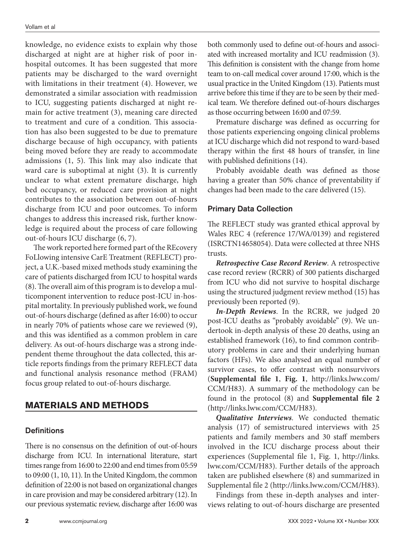knowledge, no evidence exists to explain why those discharged at night are at higher risk of poor inhospital outcomes. It has been suggested that more patients may be discharged to the ward overnight with limitations in their treatment (4). However, we demonstrated a similar association with readmission to ICU, suggesting patients discharged at night remain for active treatment (3), meaning care directed to treatment and cure of a condition. This association has also been suggested to be due to premature discharge because of high occupancy, with patients being moved before they are ready to accommodate admissions (1, 5). This link may also indicate that ward care is suboptimal at night (3). It is currently unclear to what extent premature discharge, high bed occupancy, or reduced care provision at night contributes to the association between out-of-hours discharge from ICU and poor outcomes. To inform changes to address this increased risk, further knowledge is required about the process of care following out-of-hours ICU discharge (6, 7).

The work reported here formed part of the REcovery FoLlowing intensive CarE Treatment (REFLECT) project, a U.K.-based mixed methods study examining the care of patients discharged from ICU to hospital wards (8). The overall aim of this program is to develop a multicomponent intervention to reduce post-ICU in-hospital mortality. In previously published work, we found out-of-hours discharge (defined as after 16:00) to occur in nearly 70% of patients whose care we reviewed (9), and this was identified as a common problem in care delivery. As out-of-hours discharge was a strong independent theme throughout the data collected, this article reports findings from the primary REFLECT data and functional analysis resonance method (FRAM) focus group related to out-of-hours discharge.

# **MATERIALS AND METHODS**

#### **Definitions**

There is no consensus on the definition of out-of-hours discharge from ICU. In international literature, start times range from 16:00 to 22:00 and end times from 05:59 to 09:00 (1, 10, 11). In the United Kingdom, the common definition of 22:00 is not based on organizational changes in care provision and may be considered arbitrary (12). In our previous systematic review, discharge after 16:00 was both commonly used to define out-of-hours and associated with increased mortality and ICU readmission (3). This definition is consistent with the change from home team to on-call medical cover around 17:00, which is the usual practice in the United Kingdom (13). Patients must arrive before this time if they are to be seen by their medical team. We therefore defined out-of-hours discharges as those occurring between 16:00 and 07:59.

Premature discharge was defined as occurring for those patients experiencing ongoing clinical problems at ICU discharge which did not respond to ward-based therapy within the first 48 hours of transfer, in line with published definitions (14).

Probably avoidable death was defined as those having a greater than 50% chance of preventability if changes had been made to the care delivered (15).

#### Primary Data Collection

The REFLECT study was granted ethical approval by Wales REC 4 (reference 17/WA/0139) and registered (ISRCTN14658054). Data were collected at three NHS trusts.

*Retrospective Case Record Review*. A retrospective case record review (RCRR) of 300 patients discharged from ICU who did not survive to hospital discharge using the structured judgment review method (15) has previously been reported (9).

*In-Depth Reviews*. In the RCRR, we judged 20 post-ICU deaths as "probably avoidable" (9). We undertook in-depth analysis of these 20 deaths, using an established framework (16), to find common contributory problems in care and their underlying human factors (HFs). We also analysed an equal number of survivor cases, to offer contrast with nonsurvivors (**Supplemental file 1**, **Fig. 1**, [http://links.lww.com/](http://links.lww.com/CCM/H83) [CCM/H83](http://links.lww.com/CCM/H83)). A summary of the methodology can be found in the protocol (8) and **Supplemental file 2** (<http://links.lww.com/CCM/H83>).

*Qualitative Interviews*. We conducted thematic analysis (17) of semistructured interviews with 25 patients and family members and 30 staff members involved in the ICU discharge process about their experiences (Supplemental file 1, Fig. 1, [http://links.](http://links.lww.com/CCM/H83) [lww.com/CCM/H83\)](http://links.lww.com/CCM/H83). Further details of the approach taken are published elsewhere (8) and summarized in Supplemental file 2 [\(http://links.lww.com/CCM/H83\)](http://links.lww.com/CCM/H83).

Findings from these in-depth analyses and interviews relating to out-of-hours discharge are presented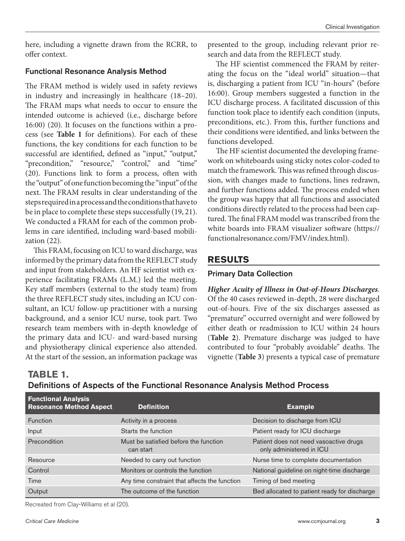here, including a vignette drawn from the RCRR, to offer context.

#### Functional Resonance Analysis Method

The FRAM method is widely used in safety reviews in industry and increasingly in healthcare (18–20). The FRAM maps what needs to occur to ensure the intended outcome is achieved (i.e., discharge before 16:00) (20). It focuses on the functions within a process (see **Table 1** for definitions). For each of these functions, the key conditions for each function to be successful are identified, defined as "input," "output," "precondition," "resource," "control," and "time" (20). Functions link to form a process, often with the "output" of one function becoming the "input" of the next. The FRAM results in clear understanding of the steps required in a process and the conditions that have to be in place to complete these steps successfully (19, 21). We conducted a FRAM for each of the common problems in care identified, including ward-based mobilization (22).

This FRAM, focusing on ICU to ward discharge, was informed by the primary data from the REFLECT study and input from stakeholders. An HF scientist with experience facilitating FRAMs (L.M.) led the meeting. Key staff members (external to the study team) from the three REFLECT study sites, including an ICU consultant, an ICU follow-up practitioner with a nursing background, and a senior ICU nurse, took part. Two research team members with in-depth knowledge of the primary data and ICU- and ward-based nursing and physiotherapy clinical experience also attended. At the start of the session, an information package was presented to the group, including relevant prior research and data from the REFLECT study.

The HF scientist commenced the FRAM by reiterating the focus on the "ideal world" situation—that is, discharging a patient from ICU "in-hours" (before 16:00). Group members suggested a function in the ICU discharge process. A facilitated discussion of this function took place to identify each condition (inputs, preconditions, etc.). From this, further functions and their conditions were identified, and links between the functions developed.

The HF scientist documented the developing framework on whiteboards using sticky notes color-coded to match the framework. This was refined through discussion, with changes made to functions, lines redrawn, and further functions added. The process ended when the group was happy that all functions and associated conditions directly related to the process had been captured. The final FRAM model was transcribed from the white boards into FRAM visualizer software [\(https://](https://functionalresonance.com/FMV/index.html) [functionalresonance.com/FMV/index.html](https://functionalresonance.com/FMV/index.html)).

# **RESULTS**

### Primary Data Collection

*Higher Acuity of Illness in Out-of-Hours Discharges*. Of the 40 cases reviewed in-depth, 28 were discharged out-of-hours. Five of the six discharges assessed as "premature" occurred overnight and were followed by either death or readmission to ICU within 24 hours (**Table 2**). Premature discharge was judged to have contributed to four "probably avoidable" deaths. The vignette (**Table 3**) presents a typical case of premature

| Definitions of Aspects of the Functional Resonance Analysis Method Process |  |  |  |
|----------------------------------------------------------------------------|--|--|--|
| <b>Functional Analysis</b>                                                 |  |  |  |

| <b>Exercise For Allany State</b><br><b>Resonance Method Aspect</b> | <b>Definition</b>                                  | <b>Example</b>                                                     |
|--------------------------------------------------------------------|----------------------------------------------------|--------------------------------------------------------------------|
| <b>Function</b>                                                    | Activity in a process                              | Decision to discharge from ICU                                     |
| Input                                                              | Starts the function                                | Patient ready for ICU discharge                                    |
| Precondition                                                       | Must be satisfied before the function<br>can start | Patient does not need vasoactive drugs<br>only administered in ICU |
| Resource                                                           | Needed to carry out function                       | Nurse time to complete documentation                               |
| Control                                                            | Monitors or controls the function                  | National guideline on night-time discharge                         |
| Time                                                               | Any time constraint that affects the function      | Timing of bed meeting                                              |
| Output                                                             | The outcome of the function                        | Bed allocated to patient ready for discharge                       |

Recreated from Clay-Williams et al (20).

**TABLE 1.**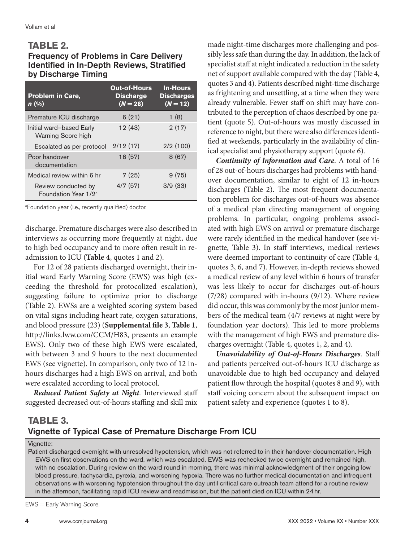### **TABLE 2.**

## Frequency of Problems in Care Delivery Identified in In-Depth Reviews, Stratified by Discharge Timing

| <b>Problem in Care,</b><br>$n$ (%)                      | <b>Out-of-Hours</b><br><b>Discharge</b><br>$(N = 28)$ | <b>In-Hours</b><br><b>Discharges</b><br>$(N = 12)$ |
|---------------------------------------------------------|-------------------------------------------------------|----------------------------------------------------|
| Premature ICU discharge                                 | 6(21)                                                 | 1(8)                                               |
| Initial ward-based Early<br>Warning Score high          | 12(43)                                                | 2(17)                                              |
| Escalated as per protocol                               | 2/12(17)                                              | 2/2(100)                                           |
| Poor handover<br>documentation                          | 16(57)                                                | 8(67)                                              |
| Medical review within 6 hr                              | 7(25)                                                 | 9(75)                                              |
| Review conducted by<br>Foundation Year 1/2 <sup>a</sup> | 4/7(57)                                               | 3/9(33)                                            |

a Foundation year (i.e., recently qualified) doctor.

discharge. Premature discharges were also described in interviews as occurring more frequently at night, due to high bed occupancy and to more often result in readmission to ICU (**Table 4**, quotes 1 and 2).

For 12 of 28 patients discharged overnight, their initial ward Early Warning Score (EWS) was high (exceeding the threshold for protocolized escalation), suggesting failure to optimize prior to discharge (Table 2). EWSs are a weighted scoring system based on vital signs including heart rate, oxygen saturations, and blood pressure (23) (**Supplemental file 3**, **Table 1**, [http://links.lww.com/CCM/H83,](http://links.lww.com/CCM/H83) presents an example EWS). Only two of these high EWS were escalated, with between 3 and 9 hours to the next documented EWS (see vignette). In comparison, only two of 12 inhours discharges had a high EWS on arrival, and both were escalated according to local protocol.

*Reduced Patient Safety at Night*. Interviewed staff suggested decreased out-of-hours staffing and skill mix made night-time discharges more challenging and possibly less safe than during the day. In addition, the lack of specialist staff at night indicated a reduction in the safety net of support available compared with the day (Table 4, quotes 3 and 4). Patients described night-time discharge as frightening and unsettling, at a time when they were already vulnerable. Fewer staff on shift may have contributed to the perception of chaos described by one patient (quote 5). Out-of-hours was mostly discussed in reference to night, but there were also differences identified at weekends, particularly in the availability of clinical specialist and physiotherapy support (quote 6).

*Continuity of Information and Care*. A total of 16 of 28 out-of-hours discharges had problems with handover documentation, similar to eight of 12 in-hours discharges (Table 2). The most frequent documentation problem for discharges out-of-hours was absence of a medical plan directing management of ongoing problems. In particular, ongoing problems associated with high EWS on arrival or premature discharge were rarely identified in the medical handover (see vignette, Table 3). In staff interviews, medical reviews were deemed important to continuity of care (Table 4, quotes 3, 6, and 7). However, in-depth reviews showed a medical review of any level within 6 hours of transfer was less likely to occur for discharges out-of-hours (7/28) compared with in-hours (9/12). Where review did occur, this was commonly by the most junior members of the medical team (4/7 reviews at night were by foundation year doctors). This led to more problems with the management of high EWS and premature discharges overnight (Table 4, quotes 1, 2, and 4).

*Unavoidability of Out-of-Hours Discharges*. Staff and patients perceived out-of-hours ICU discharge as unavoidable due to high bed occupancy and delayed patient flow through the hospital (quotes 8 and 9), with staff voicing concern about the subsequent impact on patient safety and experience (quotes 1 to 8).

# **TABLE 3.**  Vignette of Typical Case of Premature Discharge From ICU

#### Vignette:

Patient discharged overnight with unresolved hypotension, which was not referred to in their handover documentation. High EWS on first observations on the ward, which was escalated. EWS was rechecked twice overnight and remained high, with no escalation. During review on the ward round in morning, there was minimal acknowledgment of their ongoing low blood pressure, tachycardia, pyrexia, and worsening hypoxia. There was no further medical documentation and infrequent observations with worsening hypotension throughout the day until critical care outreach team attend for a routine review in the afternoon, facilitating rapid ICU review and readmission, but the patient died on ICU within 24hr.

EWS = Early Warning Score.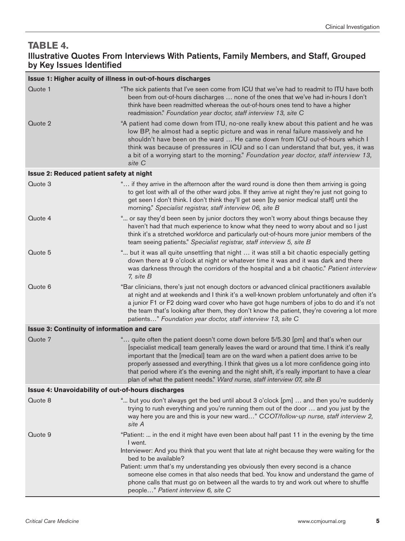# **TABLE 4.**

# Illustrative Quotes From Interviews With Patients, Family Members, and Staff, Grouped by Key Issues Identified

| Issue 1: Higher acuity of illness in out-of-hours discharges |                                                                                                                                                                                                                                                                                                                                                                                                                                                                                                                                                  |  |  |  |
|--------------------------------------------------------------|--------------------------------------------------------------------------------------------------------------------------------------------------------------------------------------------------------------------------------------------------------------------------------------------------------------------------------------------------------------------------------------------------------------------------------------------------------------------------------------------------------------------------------------------------|--|--|--|
| Quote 1                                                      | "The sick patients that I've seen come from ICU that we've had to readmit to ITU have both<br>been from out-of-hours discharges  none of the ones that we've had in-hours I don't<br>think have been readmitted whereas the out-of-hours ones tend to have a higher<br>readmission." Foundation year doctor, staff interview 13, site C                                                                                                                                                                                                          |  |  |  |
| Quote 2                                                      | "A patient had come down from ITU, no-one really knew about this patient and he was<br>low BP, he almost had a septic picture and was in renal failure massively and he<br>shouldn't have been on the ward  He came down from ICU out-of-hours which I<br>think was because of pressures in ICU and so I can understand that but, yes, it was<br>a bit of a worrying start to the morning." Foundation year doctor, staff interview 13,<br>site C                                                                                                |  |  |  |
| Issue 2: Reduced patient safety at night                     |                                                                                                                                                                                                                                                                                                                                                                                                                                                                                                                                                  |  |  |  |
| Quote 3                                                      | " if they arrive in the afternoon after the ward round is done then them arriving is going<br>to get lost with all of the other ward jobs. If they arrive at night they're just not going to<br>get seen I don't think. I don't think they'll get seen [by senior medical staff] until the<br>morning." Specialist registrar, staff interview 06, site B                                                                                                                                                                                         |  |  |  |
| Quote 4                                                      | " or say they'd been seen by junior doctors they won't worry about things because they<br>haven't had that much experience to know what they need to worry about and so I just<br>think it's a stretched workforce and particularly out-of-hours more junior members of the<br>team seeing patients." Specialist registrar, staff interview 5, site B                                                                                                                                                                                            |  |  |  |
| Quote 5                                                      | " but it was all quite unsettling that night  it was still a bit chaotic especially getting<br>down there at 9 o'clock at night or whatever time it was and it was dark and there<br>was darkness through the corridors of the hospital and a bit chaotic." Patient interview<br>7, site B                                                                                                                                                                                                                                                       |  |  |  |
| Quote 6                                                      | "Bar clinicians, there's just not enough doctors or advanced clinical practitioners available<br>at night and at weekends and I think it's a well-known problem unfortunately and often it's<br>a junior F1 or F2 doing ward cover who have got huge numbers of jobs to do and it's not<br>the team that's looking after them, they don't know the patient, they're covering a lot more<br>patients" Foundation year doctor, staff interview 13, site C                                                                                          |  |  |  |
| <b>Issue 3: Continuity of information and care</b>           |                                                                                                                                                                                                                                                                                                                                                                                                                                                                                                                                                  |  |  |  |
| Quote 7                                                      | " quite often the patient doesn't come down before 5/5.30 [pm] and that's when our<br>[specialist medical] team generally leaves the ward or around that time. I think it's really<br>important that the [medical] team are on the ward when a patient does arrive to be<br>properly assessed and everything. I think that gives us a lot more confidence going into<br>that period where it's the evening and the night shift, it's really important to have a clear<br>plan of what the patient needs." Ward nurse, staff interview 07, site B |  |  |  |
| <b>Issue 4: Unavoidability of out-of-hours discharges</b>    |                                                                                                                                                                                                                                                                                                                                                                                                                                                                                                                                                  |  |  |  |
| Quote 8                                                      | " but you don't always get the bed until about 3 o'clock [pm]  and then you're suddenly<br>trying to rush everything and you're running them out of the door  and you just by the<br>way here you are and this is your new ward" CCOT/follow-up nurse, staff interview 2,<br>site A                                                                                                                                                                                                                                                              |  |  |  |
| Quote 9                                                      | "Patient:  in the end it might have even been about half past 11 in the evening by the time<br>I went.                                                                                                                                                                                                                                                                                                                                                                                                                                           |  |  |  |
|                                                              | Interviewer: And you think that you went that late at night because they were waiting for the<br>bed to be available?                                                                                                                                                                                                                                                                                                                                                                                                                            |  |  |  |
|                                                              | Patient: umm that's my understanding yes obviously then every second is a chance<br>someone else comes in that also needs that bed. You know and understand the game of<br>phone calls that must go on between all the wards to try and work out where to shuffle<br>people" Patient interview 6, site C                                                                                                                                                                                                                                         |  |  |  |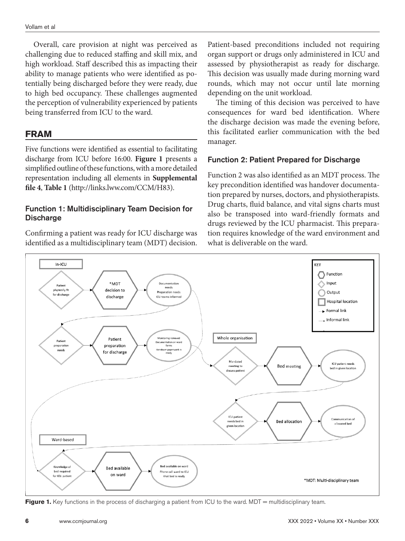Overall, care provision at night was perceived as challenging due to reduced staffing and skill mix, and high workload. Staff described this as impacting their ability to manage patients who were identified as potentially being discharged before they were ready, due to high bed occupancy. These challenges augmented the perception of vulnerability experienced by patients being transferred from ICU to the ward.

## **FRAM**

Five functions were identified as essential to facilitating discharge from ICU before 16:00. **Figure 1** presents a simplified outline of these functions, with a more detailed representation including all elements in **Supplemental file 4**, **Table 1** [\(http://links.lww.com/CCM/H83\)](http://links.lww.com/CCM/H83).

#### Function 1: Multidisciplinary Team Decision for **Discharge**

Confirming a patient was ready for ICU discharge was identified as a multidisciplinary team (MDT) decision. Patient-based preconditions included not requiring organ support or drugs only administered in ICU and assessed by physiotherapist as ready for discharge. This decision was usually made during morning ward rounds, which may not occur until late morning depending on the unit workload.

The timing of this decision was perceived to have consequences for ward bed identification. Where the discharge decision was made the evening before, this facilitated earlier communication with the bed manager.

#### Function 2: Patient Prepared for Discharge

Function 2 was also identified as an MDT process. The key precondition identified was handover documentation prepared by nurses, doctors, and physiotherapists. Drug charts, fluid balance, and vital signs charts must also be transposed into ward-friendly formats and drugs reviewed by the ICU pharmacist. This preparation requires knowledge of the ward environment and what is deliverable on the ward.



**Figure 1.** Key functions in the process of discharging a patient from ICU to the ward. MDT = multidisciplinary team.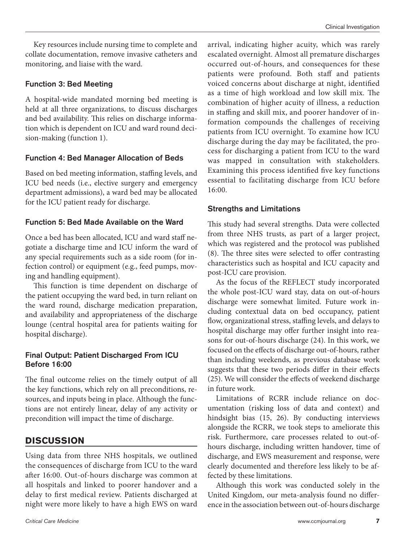Key resources include nursing time to complete and collate documentation, remove invasive catheters and monitoring, and liaise with the ward.

#### Function 3: Bed Meeting

A hospital-wide mandated morning bed meeting is held at all three organizations, to discuss discharges and bed availability. This relies on discharge information which is dependent on ICU and ward round decision-making (function 1).

#### Function 4: Bed Manager Allocation of Beds

Based on bed meeting information, staffing levels, and ICU bed needs (i.e., elective surgery and emergency department admissions), a ward bed may be allocated for the ICU patient ready for discharge.

#### Function 5: Bed Made Available on the Ward

Once a bed has been allocated, ICU and ward staff negotiate a discharge time and ICU inform the ward of any special requirements such as a side room (for infection control) or equipment (e.g., feed pumps, moving and handling equipment).

This function is time dependent on discharge of the patient occupying the ward bed, in turn reliant on the ward round, discharge medication preparation, and availability and appropriateness of the discharge lounge (central hospital area for patients waiting for hospital discharge).

#### Final Output: Patient Discharged From ICU Before 16:00

The final outcome relies on the timely output of all the key functions, which rely on all preconditions, resources, and inputs being in place. Although the functions are not entirely linear, delay of any activity or precondition will impact the time of discharge.

# **DISCUSSION**

Using data from three NHS hospitals, we outlined the consequences of discharge from ICU to the ward after 16:00. Out-of-hours discharge was common at all hospitals and linked to poorer handover and a delay to first medical review. Patients discharged at night were more likely to have a high EWS on ward arrival, indicating higher acuity, which was rarely escalated overnight. Almost all premature discharges occurred out-of-hours, and consequences for these patients were profound. Both staff and patients voiced concerns about discharge at night, identified as a time of high workload and low skill mix. The combination of higher acuity of illness, a reduction in staffing and skill mix, and poorer handover of information compounds the challenges of receiving patients from ICU overnight. To examine how ICU discharge during the day may be facilitated, the process for discharging a patient from ICU to the ward was mapped in consultation with stakeholders. Examining this process identified five key functions essential to facilitating discharge from ICU before 16:00.

#### Strengths and Limitations

This study had several strengths. Data were collected from three NHS trusts, as part of a larger project, which was registered and the protocol was published (8). The three sites were selected to offer contrasting characteristics such as hospital and ICU capacity and post-ICU care provision.

As the focus of the REFLECT study incorporated the whole post-ICU ward stay, data on out-of-hours discharge were somewhat limited. Future work including contextual data on bed occupancy, patient flow, organizational stress, staffing levels, and delays to hospital discharge may offer further insight into reasons for out-of-hours discharge (24). In this work, we focused on the effects of discharge out-of-hours, rather than including weekends, as previous database work suggests that these two periods differ in their effects (25). We will consider the effects of weekend discharge in future work.

Limitations of RCRR include reliance on documentation (risking loss of data and context) and hindsight bias (15, 26). By conducting interviews alongside the RCRR, we took steps to ameliorate this risk. Furthermore, care processes related to out-ofhours discharge, including written handover, time of discharge, and EWS measurement and response, were clearly documented and therefore less likely to be affected by these limitations.

Although this work was conducted solely in the United Kingdom, our meta-analysis found no difference in the association between out-of-hours discharge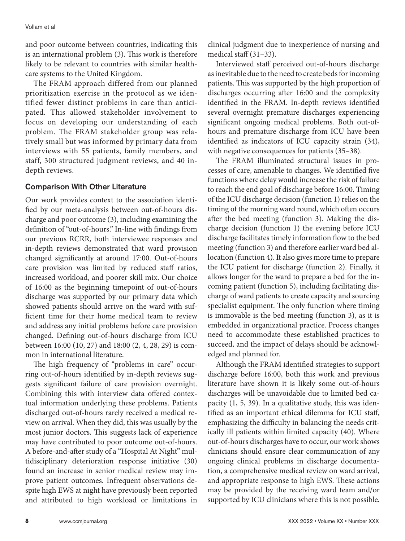and poor outcome between countries, indicating this is an international problem (3). This work is therefore likely to be relevant to countries with similar healthcare systems to the United Kingdom.

The FRAM approach differed from our planned prioritization exercise in the protocol as we identified fewer distinct problems in care than anticipated. This allowed stakeholder involvement to focus on developing our understanding of each problem. The FRAM stakeholder group was relatively small but was informed by primary data from interviews with 55 patients, family members, and staff, 300 structured judgment reviews, and 40 indepth reviews.

#### Comparison With Other Literature

Our work provides context to the association identified by our meta-analysis between out-of-hours discharge and poor outcome (3), including examining the definition of "out-of-hours." In-line with findings from our previous RCRR, both interviewee responses and in-depth reviews demonstrated that ward provision changed significantly at around 17:00. Out-of-hours care provision was limited by reduced staff ratios, increased workload, and poorer skill mix. Our choice of 16:00 as the beginning timepoint of out-of-hours discharge was supported by our primary data which showed patients should arrive on the ward with sufficient time for their home medical team to review and address any initial problems before care provision changed. Defining out-of-hours discharge from ICU between 16:00 (10, 27) and 18:00 (2, 4, 28, 29) is common in international literature.

The high frequency of "problems in care" occurring out-of-hours identified by in-depth reviews suggests significant failure of care provision overnight. Combining this with interview data offered contextual information underlying these problems. Patients discharged out-of-hours rarely received a medical review on arrival. When they did, this was usually by the most junior doctors. This suggests lack of experience may have contributed to poor outcome out-of-hours. A before-and-after study of a "Hospital At Night" multidisciplinary deterioration response initiative (30) found an increase in senior medical review may improve patient outcomes. Infrequent observations despite high EWS at night have previously been reported and attributed to high workload or limitations in

clinical judgment due to inexperience of nursing and medical staff (31–33).

Interviewed staff perceived out-of-hours discharge as inevitable due to the need to create beds for incoming patients. This was supported by the high proportion of discharges occurring after 16:00 and the complexity identified in the FRAM. In-depth reviews identified several overnight premature discharges experiencing significant ongoing medical problems. Both out-ofhours and premature discharge from ICU have been identified as indicators of ICU capacity strain (34), with negative consequences for patients (35–38).

The FRAM illuminated structural issues in processes of care, amenable to changes. We identified five functions where delay would increase the risk of failure to reach the end goal of discharge before 16:00. Timing of the ICU discharge decision (function 1) relies on the timing of the morning ward round, which often occurs after the bed meeting (function 3). Making the discharge decision (function 1) the evening before ICU discharge facilitates timely information flow to the bed meeting (function 3) and therefore earlier ward bed allocation (function 4). It also gives more time to prepare the ICU patient for discharge (function 2). Finally, it allows longer for the ward to prepare a bed for the incoming patient (function 5), including facilitating discharge of ward patients to create capacity and sourcing specialist equipment. The only function where timing is immovable is the bed meeting (function 3), as it is embedded in organizational practice. Process changes need to accommodate these established practices to succeed, and the impact of delays should be acknowledged and planned for.

Although the FRAM identified strategies to support discharge before 16:00, both this work and previous literature have shown it is likely some out-of-hours discharges will be unavoidable due to limited bed capacity (1, 5, 39). In a qualitative study, this was identified as an important ethical dilemma for ICU staff, emphasizing the difficulty in balancing the needs critically ill patients within limited capacity (40). Where out-of-hours discharges have to occur, our work shows clinicians should ensure clear communication of any ongoing clinical problems in discharge documentation, a comprehensive medical review on ward arrival, and appropriate response to high EWS. These actions may be provided by the receiving ward team and/or supported by ICU clinicians where this is not possible.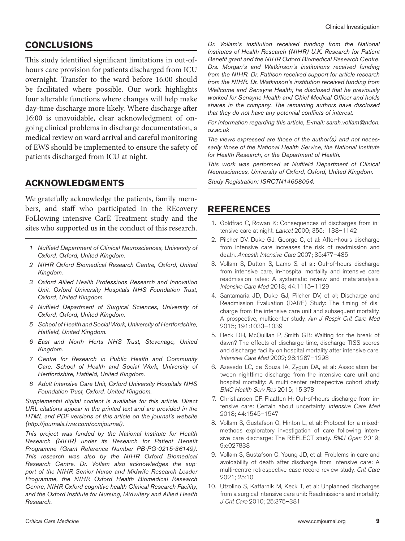# **CONCLUSIONS**

This study identified significant limitations in out-ofhours care provision for patients discharged from ICU overnight. Transfer to the ward before 16:00 should be facilitated where possible. Our work highlights four alterable functions where changes will help make day-time discharge more likely. Where discharge after 16:00 is unavoidable, clear acknowledgment of ongoing clinical problems in discharge documentation, a medical review on ward arrival and careful monitoring of EWS should be implemented to ensure the safety of patients discharged from ICU at night.

# **ACKNOWLEDGMENTS**

We gratefully acknowledge the patients, family members, and staff who participated in the REcovery FoLlowing intensive CarE Treatment study and the sites who supported us in the conduct of this research.

- *1 Nuffield Department of Clinical Neurosciences, University of Oxford, Oxford, United Kingdom.*
- *2 NIHR Oxford Biomedical Research Centre, Oxford, United Kingdom.*
- *3 Oxford Allied Health Professions Research and Innovation Unit, Oxford University Hospitals NHS Foundation Trust, Oxford, United Kingdom.*
- *4 Nuffield Department of Surgical Sciences, University of Oxford, Oxford, United Kingdom.*
- *5 School of Health and Social Work, University of Hertfordshire, Hatfield, United Kingdom.*
- *6 East and North Herts NHS Trust, Stevenage, United Kingdom.*
- *7 Centre for Research in Public Health and Community Care, School of Health and Social Work, University of Hertfordshire, Hatfield, United Kingdom.*
- *8 Adult Intensive Care Unit, Oxford University Hospitals NHS Foundation Trust, Oxford, United Kingdom.*

*Supplemental digital content is available for this article. Direct URL citations appear in the printed text and are provided in the HTML and PDF versions of this article on the journal's website ([http://journals.lww.com/ccmjournal\)](http://journals.lww.com/ccmjournal).*

*This project was funded by the National Institute for Health Research (NIHR) under its Research for Patient Benefit Programme (Grant Reference Number PB-PG-0215-36149). This research was also by the NIHR Oxford Biomedical Research Centre. Dr. Vollam also acknowledges the support of the NIHR Senior Nurse and Midwife Research Leader Programme, the NIHR Oxford Health Biomedical Research Centre, NIHR Oxford cognitive health Clinical Research Facility, and the Oxford Institute for Nursing, Midwifery and Allied Health Research.*

*Dr. Vollam's institution received funding from the National Institutes of Health Research (NIHR) U.K. Research for Patient Benefit grant and the NIHR Oxford Biomedical Research Centre. Drs. Morgan's and Watkinson's institutions received funding from the NIHR. Dr. Pattison received support for article research from the NIHR. Dr. Watkinson's institution received funding from Wellcome and Sensyne Health; he disclosed that he previously worked for Sensyne Health and Chief Medical Officer and holds shares in the company. The remaining authors have disclosed that they do not have any potential conflicts of interest.*

*For information regarding this article, E-mail: [sarah.vollam@ndcn.](mailto:sarah.vollam@ndcn.ox.ac.uk) [ox.ac.uk](mailto:sarah.vollam@ndcn.ox.ac.uk)*

*The views expressed are those of the author(s) and not necessarily those of the National Health Service, the National Institute for Health Research, or the Department of Health.*

*This work was performed at Nuffield Department of Clinical Neurosciences, University of Oxford, Oxford, United Kingdom. Study Registration: ISRCTN14658054.*

## **REFERENCES**

- 1. Goldfrad C, Rowan K: Consequences of discharges from intensive care at night. *Lancet* 2000; 355:1138–1142
- 2. Pilcher DV, Duke GJ, George C, et al: After-hours discharge from intensive care increases the risk of readmission and death. *Anaesth Intensive Care* 2007; 35:477–485
- 3. Vollam S, Dutton S, Lamb S, et al: Out-of-hours discharge from intensive care, in-hospital mortality and intensive care readmission rates: A systematic review and meta-analysis. *Intensive Care Med* 2018; 44:1115–1129
- 4. Santamaria JD, Duke GJ, Pilcher DV, et al; Discharge and Readmission Evaluation (DARE) Study: The timing of discharge from the intensive care unit and subsequent mortality. A prospective, multicenter study. *Am J Respir Crit Care Med* 2015; 191:1033–1039
- 5. Beck DH, McQuillan P, Smith GB: Waiting for the break of dawn? The effects of discharge time, discharge TISS scores and discharge facility on hospital mortality after intensive care. *Intensive Care Med* 2002; 28:1287–1293
- 6. Azevedo LC, de Souza IA, Zygun DA, et al: Association between nighttime discharge from the intensive care unit and hospital mortality: A multi-center retrospective cohort study. *BMC Health Serv Res* 2015; 15:378
- 7. Christiansen CF, Flaatten H: Out-of-hours discharge from intensive care: Certain about uncertainty. *Intensive Care Med* 2018; 44:1545–1547
- 8. Vollam S, Gustafson O, Hinton L, et al: Protocol for a mixedmethods exploratory investigation of care following intensive care discharge: The REFLECT study. *BMJ Open* 2019; 9:e027838
- 9. Vollam S, Gustafson O, Young JD, et al: Problems in care and avoidability of death after discharge from intensive care: A multi-centre retrospective case record review study. *Crit Care* 2021; 25:10
- 10. Utzolino S, Kaffarnik M, Keck T, et al: Unplanned discharges from a surgical intensive care unit: Readmissions and mortality. *J Crit Care* 2010; 25:375–381